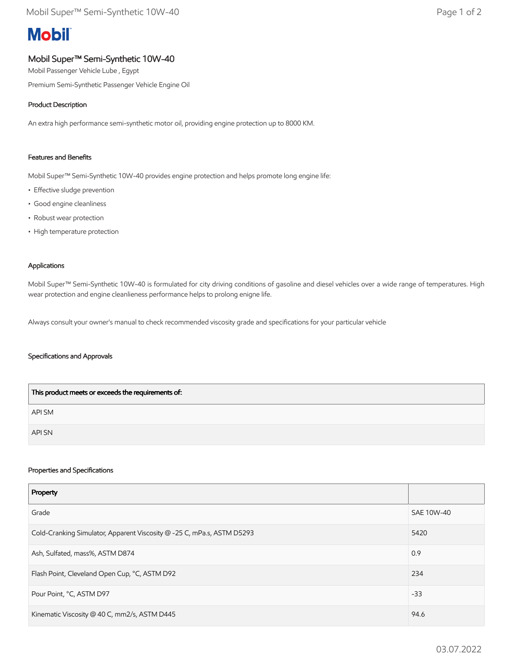# **Mobil**

# Mobil Super™ Semi-Synthetic 10W-40

Mobil Passenger Vehicle Lube , Egypt

Premium Semi-Synthetic Passenger Vehicle Engine Oil

## Product Description

An extra high performance semi-synthetic motor oil, providing engine protection up to 8000 KM.

### Features and Benefits

Mobil Super™ Semi-Synthetic 10W-40 provides engine protection and helps promote long engine life:

- Effective sludge prevention
- Good engine cleanliness
- Robust wear protection
- High temperature protection

#### Applications

Mobil Super™ Semi-Synthetic 10W-40 is formulated for city driving conditions of gasoline and diesel vehicles over a wide range of temperatures. High wear protection and engine cleanlieness performance helps to prolong enigne life.

Always consult your owner's manual to check recommended viscosity grade and specifications for your particular vehicle

#### Specifications and Approvals

| This product meets or exceeds the requirements of: |
|----------------------------------------------------|
| API SM                                             |
| <b>API SN</b>                                      |

#### Properties and Specifications

| Property                                                               |            |
|------------------------------------------------------------------------|------------|
| Grade                                                                  | SAE 10W-40 |
| Cold-Cranking Simulator, Apparent Viscosity @ -25 C, mPa.s, ASTM D5293 | 5420       |
| Ash, Sulfated, mass%, ASTM D874                                        | 0.9        |
| Flash Point, Cleveland Open Cup, °C, ASTM D92                          | 234        |
| Pour Point, °C, ASTM D97                                               | $-33$      |
| Kinematic Viscosity @ 40 C, mm2/s, ASTM D445                           | 94.6       |